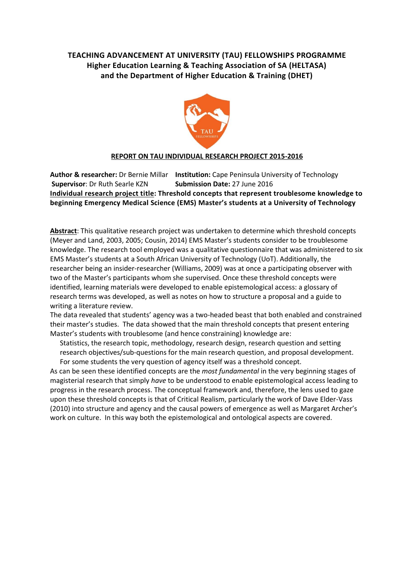# **TEACHING ADVANCEMENT AT UNIVERSITY (TAU) FELLOWSHIPS PROGRAMME Higher Education Learning & Teaching Association of SA (HELTASA) and the Department of Higher Education & Training (DHET)**



#### **REPORT ON TAU INDIVIDUAL RESEARCH PROJECT 2015-2016**

**Author & researcher:** Dr Bernie Millar **Institution:** Cape Peninsula University of Technology **Supervisor**: Dr Ruth Searle KZN **Submission Date:** 27 June 2016 **Individual research project title: Threshold concepts that represent troublesome knowledge to beginning Emergency Medical Science (EMS) Master's students at a University of Technology** 

**Abstract**: This qualitative research project was undertaken to determine which threshold concepts (Meyer and Land, 2003, 2005; Cousin, 2014) EMS Master's students consider to be troublesome knowledge. The research tool employed was a qualitative questionnaire that was administered to six EMS Master's students at a South African University of Technology (UoT). Additionally, the researcher being an insider-researcher (Williams, 2009) was at once a participating observer with two of the Master's participants whom she supervised. Once these threshold concepts were identified, learning materials were developed to enable epistemological access: a glossary of research terms was developed, as well as notes on how to structure a proposal and a guide to writing a literature review.

The data revealed that students' agency was a two-headed beast that both enabled and constrained their master's studies. The data showed that the main threshold concepts that present entering Master's students with troublesome (and hence constraining) knowledge are:

Statistics, the research topic, methodology, research design, research question and setting research objectives/sub-questions for the main research question, and proposal development. For some students the very question of agency itself was a threshold concept.

As can be seen these identified concepts are the *most fundamental* in the very beginning stages of magisterial research that simply *have* to be understood to enable epistemological access leading to progress in the research process. The conceptual framework and, therefore, the lens used to gaze upon these threshold concepts is that of Critical Realism, particularly the work of Dave Elder-Vass (2010) into structure and agency and the causal powers of emergence as well as Margaret Archer's work on culture. In this way both the epistemological and ontological aspects are covered.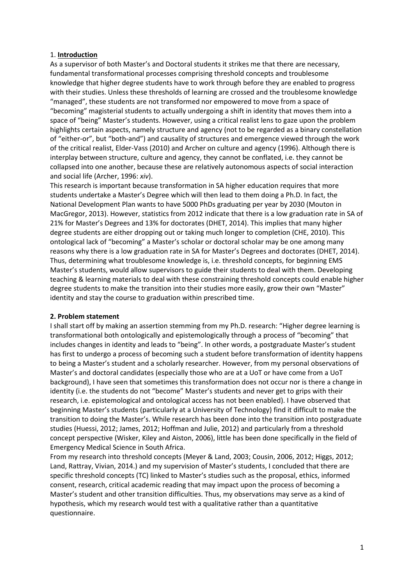#### 1. **Introduction**

As a supervisor of both Master's and Doctoral students it strikes me that there are necessary, fundamental transformational processes comprising threshold concepts and troublesome knowledge that higher degree students have to work through before they are enabled to progress with their studies. Unless these thresholds of learning are crossed and the troublesome knowledge "managed", these students are not transformed nor empowered to move from a space of "becoming" magisterial students to actually undergoing a shift in identity that moves them into a space of "being" Master's students. However, using a critical realist lens to gaze upon the problem highlights certain aspects, namely structure and agency (not to be regarded as a binary constellation of "either-or", but "both-and") and causality of structures and emergence viewed through the work of the critical realist, Elder-Vass (2010) and Archer on culture and agency (1996). Although there is interplay between structure, culture and agency, they cannot be conflated, i.e. they cannot be collapsed into one another, because these are relatively autonomous aspects of social interaction and social life (Archer, 1996: *xiv*).

This research is important because transformation in SA higher education requires that more students undertake a Master's Degree which will then lead to them doing a Ph.D. In fact, the National Development Plan wants to have 5000 PhDs graduating per year by 2030 (Mouton in MacGregor, 2013). However, statistics from 2012 indicate that there is a low graduation rate in SA of 21% for Master's Degrees and 13% for doctorates (DHET, 2014). This implies that many higher degree students are either dropping out or taking much longer to completion (CHE, 2010). This ontological lack of "becoming" a Master's scholar or doctoral scholar may be one among many reasons why there is a low graduation rate in SA for Master's Degrees and doctorates (DHET, 2014). Thus, determining what troublesome knowledge is, i.e. threshold concepts, for beginning EMS Master's students, would allow supervisors to guide their students to deal with them. Developing teaching & learning materials to deal with these constraining threshold concepts could enable higher degree students to make the transition into their studies more easily, grow their own "Master" identity and stay the course to graduation within prescribed time.

#### **2. Problem statement**

I shall start off by making an assertion stemming from my Ph.D. research: "Higher degree learning is transformational both ontologically and epistemologically through a process of "becoming" that includes changes in identity and leads to "being". In other words, a postgraduate Master's student has first to undergo a process of becoming such a student before transformation of identity happens to being a Master's student and a scholarly researcher. However, from my personal observations of Master's and doctoral candidates (especially those who are at a UoT or have come from a UoT background), I have seen that sometimes this transformation does not occur nor is there a change in identity (i.e. the students do not "become" Master's students and never get to grips with their research, i.e. epistemological and ontological access has not been enabled). I have observed that beginning Master's students (particularly at a University of Technology) find it difficult to make the transition to doing the Master's. While research has been done into the transition into postgraduate studies (Huessi, 2012; James, 2012; Hoffman and Julie, 2012) and particularly from a threshold concept perspective (Wisker, Kiley and Aiston, 2006), little has been done specifically in the field of Emergency Medical Science in South Africa.

From my research into threshold concepts (Meyer & Land, 2003; Cousin, 2006, 2012; Higgs, 2012; Land, Rattray, Vivian, 2014.) and my supervision of Master's students, I concluded that there are specific threshold concepts (TC) linked to Master's studies such as the proposal, ethics, informed consent, research, critical academic reading that may impact upon the process of becoming a Master's student and other transition difficulties. Thus, my observations may serve as a kind of hypothesis, which my research would test with a qualitative rather than a quantitative questionnaire.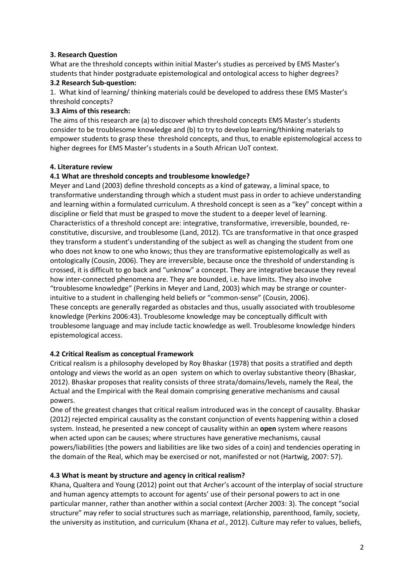# **3. Research Question**

What are the threshold concepts within initial Master's studies as perceived by EMS Master's students that hinder postgraduate epistemological and ontological access to higher degrees?

### **3.2 Research Sub-question:**

1. What kind of learning/ thinking materials could be developed to address these EMS Master's threshold concepts?

# **3.3 Aims of this research:**

The aims of this research are (a) to discover which threshold concepts EMS Master's students consider to be troublesome knowledge and (b) to try to develop learning/thinking materials to empower students to grasp these threshold concepts, and thus, to enable epistemological access to higher degrees for EMS Master's students in a South African UoT context.

### **4. Literature review**

# **4.1 What are threshold concepts and troublesome knowledge?**

Meyer and Land (2003) define threshold concepts as a kind of gateway, a liminal space, to transformative understanding through which a student must pass in order to achieve understanding and learning within a formulated curriculum. A threshold concept is seen as a "key" concept within a discipline or field that must be grasped to move the student to a deeper level of learning. Characteristics of a threshold concept are: integrative, transformative, irreversible, bounded, reconstitutive, discursive, and troublesome (Land, 2012). TCs are transformative in that once grasped they transform a student's understanding of the subject as well as changing the student from one who does not know to one who knows; thus they are transformative epistemologically as well as ontologically (Cousin, 2006). They are irreversible, because once the threshold of understanding is crossed, it is difficult to go back and "unknow" a concept. They are integrative because they reveal how inter-connected phenomena are. They are bounded, i.e. have limits. They also involve "troublesome knowledge" (Perkins in Meyer and Land, 2003) which may be strange or counterintuitive to a student in challenging held beliefs or "common-sense" (Cousin, 2006). These concepts are generally regarded as obstacles and thus, usually associated with troublesome knowledge (Perkins 2006:43). Troublesome knowledge may be conceptually difficult with troublesome language and may include tactic knowledge as well. Troublesome knowledge hinders epistemological access.

# **4.2 Critical Realism as conceptual Framework**

Critical realism is a philosophy developed by Roy Bhaskar (1978) that posits a stratified and depth ontology and views the world as an open system on which to overlay substantive theory (Bhaskar, 2012). Bhaskar proposes that reality consists of three strata/domains/levels, namely the Real, the Actual and the Empirical with the Real domain comprising generative mechanisms and causal powers.

One of the greatest changes that critical realism introduced was in the concept of causality. Bhaskar (2012) rejected empirical causality as the constant conjunction of events happening within a closed system. Instead, he presented a new concept of causality within an **open** system where reasons when acted upon can be causes; where structures have generative mechanisms, causal powers/liabilities (the powers and liabilities are like two sides of a coin) and tendencies operating in the domain of the Real, which may be exercised or not, manifested or not (Hartwig, 2007: 57).

# **4.3 What is meant by structure and agency in critical realism?**

Khana, Qualtera and Young (2012) point out that Archer's account of the interplay of social structure and human agency attempts to account for agents' use of their personal powers to act in one particular manner, rather than another within a social context (Archer 2003: 3). The concept "social structure" may refer to social structures such as marriage, relationship, parenthood, family, society, the university as institution, and curriculum (Khana *et al*., 2012). Culture may refer to values, beliefs,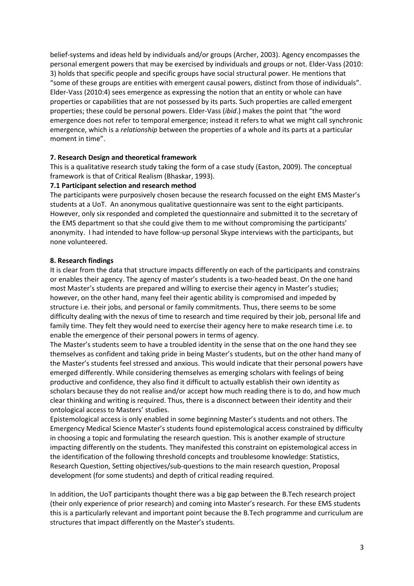belief-systems and ideas held by individuals and/or groups (Archer, 2003). Agency encompasses the personal emergent powers that may be exercised by individuals and groups or not. Elder-Vass (2010: 3) holds that specific people and specific groups have social structural power. He mentions that "some of these groups are entities with emergent causal powers, distinct from those of individuals". Elder-Vass (2010:4) sees emergence as expressing the notion that an entity or whole can have properties or capabilities that are not possessed by its parts. Such properties are called emergent properties; these could be personal powers. Elder-Vass (*ibid*.) makes the point that "the word emergence does not refer to temporal emergence; instead it refers to what we might call synchronic emergence, which is a *relationship* between the properties of a whole and its parts at a particular moment in time".

#### **7. Research Design and theoretical framework**

This is a qualitative research study taking the form of a case study (Easton, 2009). The conceptual framework is that of Critical Realism (Bhaskar, 1993).

### **7.1 Participant selection and research method**

The participants were purposively chosen because the research focussed on the eight EMS Master's students at a UoT. An anonymous qualitative questionnaire was sent to the eight participants. However, only six responded and completed the questionnaire and submitted it to the secretary of the EMS department so that she could give them to me without compromising the participants' anonymity. I had intended to have follow-up personal Skype interviews with the participants, but none volunteered.

### **8. Research findings**

It is clear from the data that structure impacts differently on each of the participants and constrains or enables their agency. The agency of master's students is a two-headed beast. On the one hand most Master's students are prepared and willing to exercise their agency in Master's studies; however, on the other hand, many feel their agentic ability is compromised and impeded by structure i.e. their jobs, and personal or family commitments. Thus, there seems to be some difficulty dealing with the nexus of time to research and time required by their job, personal life and family time. They felt they would need to exercise their agency here to make research time i.e. to enable the emergence of their personal powers in terms of agency.

The Master's students seem to have a troubled identity in the sense that on the one hand they see themselves as confident and taking pride in being Master's students, but on the other hand many of the Master's students feel stressed and anxious. This would indicate that their personal powers have emerged differently. While considering themselves as emerging scholars with feelings of being productive and confidence, they also find it difficult to actually establish their own identity as scholars because they do not realise and/or accept how much reading there is to do, and how much clear thinking and writing is required. Thus, there is a disconnect between their identity and their ontological access to Masters' studies.

Epistemological access is only enabled in some beginning Master's students and not others. The Emergency Medical Science Master's students found epistemological access constrained by difficulty in choosing a topic and formulating the research question. This is another example of structure impacting differently on the students. They manifested this constraint on epistemological access in the identification of the following threshold concepts and troublesome knowledge: Statistics, Research Question, Setting objectives/sub-questions to the main research question, Proposal development (for some students) and depth of critical reading required.

In addition, the UoT participants thought there was a big gap between the B.Tech research project (their only experience of prior research) and coming into Master's research. For these EMS students this is a particularly relevant and important point because the B.Tech programme and curriculum are structures that impact differently on the Master's students.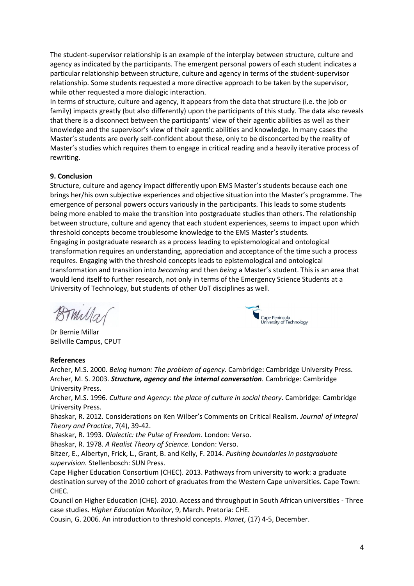The student-supervisor relationship is an example of the interplay between structure, culture and agency as indicated by the participants. The emergent personal powers of each student indicates a particular relationship between structure, culture and agency in terms of the student-supervisor relationship. Some students requested a more directive approach to be taken by the supervisor, while other requested a more dialogic interaction.

In terms of structure, culture and agency, it appears from the data that structure (i.e. the job or family) impacts greatly (but also differently) upon the participants of this study. The data also reveals that there is a disconnect between the participants' view of their agentic abilities as well as their knowledge and the supervisor's view of their agentic abilities and knowledge. In many cases the Master's students are overly self-confident about these, only to be disconcerted by the reality of Master's studies which requires them to engage in critical reading and a heavily iterative process of rewriting.

### **9. Conclusion**

Structure, culture and agency impact differently upon EMS Master's students because each one brings her/his own subjective experiences and objective situation into the Master's programme. The emergence of personal powers occurs variously in the participants. This leads to some students being more enabled to make the transition into postgraduate studies than others. The relationship between structure, culture and agency that each student experiences, seems to impact upon which threshold concepts become troublesome knowledge to the EMS Master's students. Engaging in postgraduate research as a process leading to epistemological and ontological transformation requires an understanding, appreciation and acceptance of the time such a process requires. Engaging with the threshold concepts leads to epistemological and ontological transformation and transition into *becoming* and then *being* a Master's student. This is an area that would lend itself to further research, not only in terms of the Emergency Science Students at a University of Technology, but students of other UoT disciplines as well.

mulla

Dr Bernie Millar Bellville Campus, CPUT

#### **References**

Archer, M.S. 2000. *Being human: The problem of agency.* Cambridge: Cambridge University Press. Archer, M. S. 2003. *Structure, agency and the internal conversation.* Cambridge: Cambridge University Press.

Cape Peninsula<br>University of Technology

Archer, M.S. 1996. *Culture and Agency: the place of culture in social theory*. Cambridge: Cambridge University Press.

Bhaskar, R. 2012. Considerations on Ken Wilber's Comments on Critical Realism. *Journal of Integral Theory and Practice*, 7(4), 39-42.

Bhaskar, R. 1993. *Dialectic: the Pulse of Freedom*. London: Verso.

Bhaskar, R. 1978. *A Realist Theory of Science*. London: Verso.

Bitzer, E., Albertyn, Frick, L., Grant, B. and Kelly, F. 2014. *Pushing boundaries in postgraduate supervision.* Stellenbosch: SUN Press.

Cape Higher Education Consortium (CHEC). 2013. Pathways from university to work: a graduate destination survey of the 2010 cohort of graduates from the Western Cape universities. Cape Town: CHEC.

Council on Higher Education (CHE). 2010. Access and throughput in South African universities - Three case studies. *Higher Education Monitor*, 9, March. Pretoria: CHE.

Cousin, G. 2006. An introduction to threshold concepts. *Planet*, (17) 4-5, December.